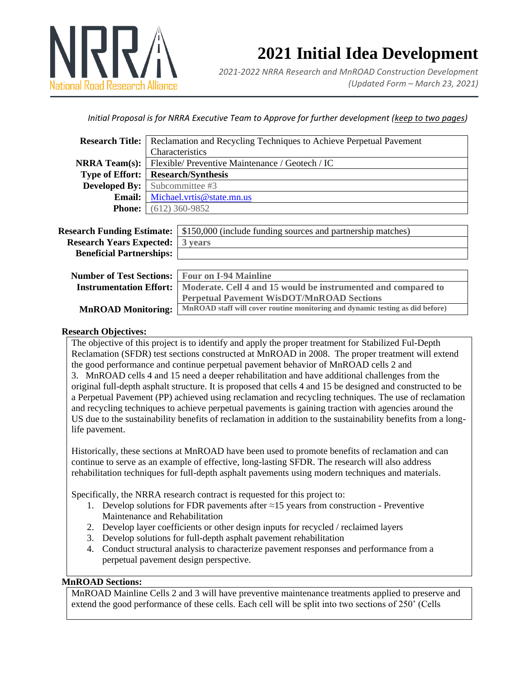

# **2021 Initial Idea Development**

*2021-2022 NRRA Research and MnROAD Construction Development (Updated Form – March 23, 2021)*

# *Initial Proposal is for NRRA Executive Team to Approve for further development (keep to two pages)*

| <b>Research Title:</b> Reclamation and Recycling Techniques to Achieve Perpetual Pavement |  |
|-------------------------------------------------------------------------------------------|--|
| Characteristics                                                                           |  |
| <b>NRRA Team(s):</b> Flexible/ Preventive Maintenance / Geotech / IC                      |  |
| <b>Type of Effort:</b> Research/Synthesis                                                 |  |
| <b>Developed By:</b> Subcommittee #3                                                      |  |
| <b>Email:</b> Michael.vrtis@state.mn.us                                                   |  |
| <b>Phone:</b> $(612) 360-9852$                                                            |  |
|                                                                                           |  |

|                                         | <b>Research Funding Estimate:</b>   \$150,000 (include funding sources and partnership matches) |
|-----------------------------------------|-------------------------------------------------------------------------------------------------|
| <b>Research Years Expected:</b> 3 years |                                                                                                 |
| <b>Beneficial Partnerships:</b>         |                                                                                                 |
|                                         |                                                                                                 |

| <b>Number of Test Sections:</b> Four on I-94 Mainline |                                                                                                  |
|-------------------------------------------------------|--------------------------------------------------------------------------------------------------|
|                                                       | Instrumentation Effort:   Moderate. Cell 4 and 15 would be instrumented and compared to          |
|                                                       | Perpetual Pavement WisDOT/MnROAD Sections                                                        |
|                                                       | MnROAD Monitoring: MnROAD staff will cover routine monitoring and dynamic testing as did before) |

# **Research Objectives:**

The objective of this project is to identify and apply the proper treatment for Stabilized Ful-Depth Reclamation (SFDR) test sections constructed at MnROAD in 2008. The proper treatment will extend the good performance and continue perpetual pavement behavior of MnROAD cells 2 and 3. MnROAD cells 4 and 15 need a deeper rehabilitation and have additional challenges from the original full-depth asphalt structure. It is proposed that cells 4 and 15 be designed and constructed to be a Perpetual Pavement (PP) achieved using reclamation and recycling techniques. The use of reclamation and recycling techniques to achieve perpetual pavements is gaining traction with agencies around the US due to the sustainability benefits of reclamation in addition to the sustainability benefits from a longlife pavement.

Historically, these sections at MnROAD have been used to promote benefits of reclamation and can continue to serve as an example of effective, long-lasting SFDR. The research will also address rehabilitation techniques for full-depth asphalt pavements using modern techniques and materials.

Specifically, the NRRA research contract is requested for this project to:

- 1. Develop solutions for FDR pavements after  $\approx$  15 years from construction Preventive Maintenance and Rehabilitation
- 2. Develop layer coefficients or other design inputs for recycled / reclaimed layers
- 3. Develop solutions for full-depth asphalt pavement rehabilitation
- 4. Conduct structural analysis to characterize pavement responses and performance from a perpetual pavement design perspective.

#### **MnROAD Sections:**

MnROAD Mainline Cells 2 and 3 will have preventive maintenance treatments applied to preserve and extend the good performance of these cells. Each cell will be split into two sections of 250' (Cells